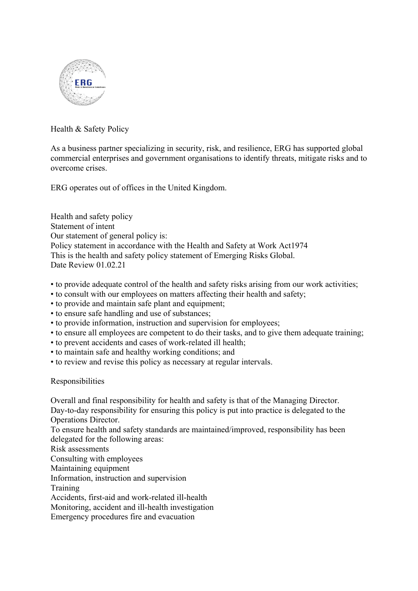

Health & Safety Policy

As a business partner specializing in security, risk, and resilience, ERG has supported global commercial enterprises and government organisations to identify threats, mitigate risks and to overcome crises.

ERG operates out of offices in the United Kingdom.

Health and safety policy Statement of intent Our statement of general policy is: Policy statement in accordance with the Health and Safety at Work Act1974 This is the health and safety policy statement of Emerging Risks Global. Date Review 01.02.21

- to provide adequate control of the health and safety risks arising from our work activities;
- to consult with our employees on matters affecting their health and safety;
- to provide and maintain safe plant and equipment;
- to ensure safe handling and use of substances;
- to provide information, instruction and supervision for employees;
- to ensure all employees are competent to do their tasks, and to give them adequate training;
- to prevent accidents and cases of work-related ill health;
- to maintain safe and healthy working conditions; and
- to review and revise this policy as necessary at regular intervals.

Responsibilities

Overall and final responsibility for health and safety is that of the Managing Director.

Day-to-day responsibility for ensuring this policy is put into practice is delegated to the Operations Director.

To ensure health and safety standards are maintained/improved, responsibility has been delegated for the following areas:

Risk assessments

Consulting with employees

Maintaining equipment

Information, instruction and supervision

Training

Accidents, first-aid and work-related ill-health

Monitoring, accident and ill-health investigation

Emergency procedures fire and evacuation